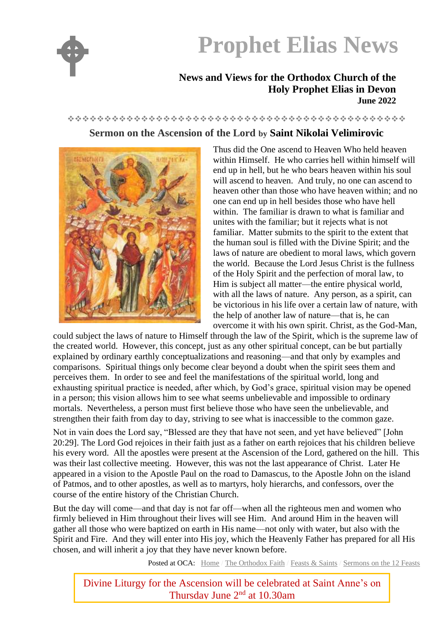

# **Prophet Elias News**

### **News and Views for the Orthodox Church of the Holy Prophet Elias in Devon June 2022**

## ❖❖❖❖❖❖❖❖❖❖❖❖❖❖❖❖❖❖❖❖❖❖❖❖❖❖❖❖❖❖❖❖❖❖❖❖❖❖❖❖❖❖❖❖❖❖

## **Sermon on the Ascension of the Lord by Saint Nikolai Velimirovic**



Thus did the One ascend to Heaven Who held heaven within Himself. He who carries hell within himself will end up in hell, but he who bears heaven within his soul will ascend to heaven. And truly, no one can ascend to heaven other than those who have heaven within; and no one can end up in hell besides those who have hell within. The familiar is drawn to what is familiar and unites with the familiar; but it rejects what is not familiar. Matter submits to the spirit to the extent that the human soul is filled with the Divine Spirit; and the laws of nature are obedient to moral laws, which govern the world. Because the Lord Jesus Christ is the fullness of the Holy Spirit and the perfection of moral law, to Him is subject all matter—the entire physical world, with all the laws of nature. Any person, as a spirit, can be victorious in his life over a certain law of nature, with the help of another law of nature—that is, he can overcome it with his own spirit. Christ, as the God-Man,

could subject the laws of nature to Himself through the law of the Spirit, which is the supreme law of the created world. However, this concept, just as any other spiritual concept, can be but partially explained by ordinary earthly conceptualizations and reasoning—and that only by examples and comparisons. Spiritual things only become clear beyond a doubt when the spirit sees them and perceives them. In order to see and feel the manifestations of the spiritual world, long and exhausting spiritual practice is needed, after which, by God's grace, spiritual vision may be opened in a person; this vision allows him to see what seems unbelievable and impossible to ordinary mortals. Nevertheless, a person must first believe those who have seen the unbelievable, and strengthen their faith from day to day, striving to see what is inaccessible to the common gaze.

Not in vain does the Lord say, "Blessed are they that have not seen, and yet have believed" [John 20:29]. The Lord God rejoices in their faith just as a father on earth rejoices that his children believe his every word. All the apostles were present at the Ascension of the Lord, gathered on the hill. This was their last collective meeting. However, this was not the last appearance of Christ. Later He appeared in a vision to the Apostle Paul on the road to Damascus, to the Apostle John on the island of Patmos, and to other apostles, as well as to martyrs, holy hierarchs, and confessors, over the course of the entire history of the Christian Church.

But the day will come—and that day is not far off—when all the righteous men and women who firmly believed in Him throughout their lives will see Him. And around Him in the heaven will gather all those who were baptized on earth in His name—not only with water, but also with the Spirit and Fire. And they will enter into His joy, which the Heavenly Father has prepared for all His chosen, and will inherit a joy that they have never known before.

Posted at OCA: [Home](https://www.oca.org/) / [The Orthodox Faith](https://www.oca.org/orthodoxy) / [Feasts & Saints](https://www.oca.org/fs) / [Sermons on the 12 Feasts](https://www.oca.org/fs/sermons)

Divine Liturgy for the Ascension will be celebrated at Saint Anne's on Thursday June 2nd at 10.30am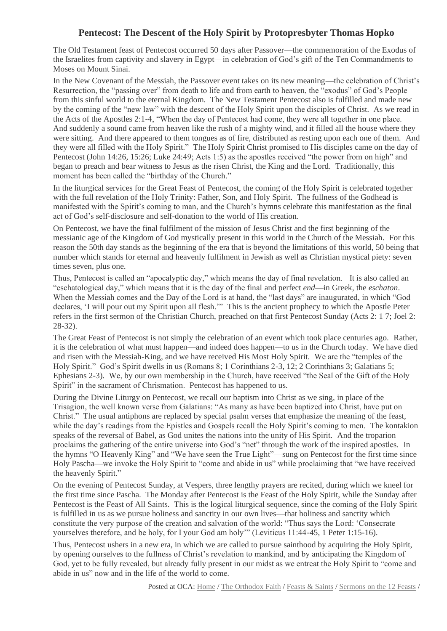## **Pentecost: The Descent of the Holy Spirit by Protopresbyter Thomas Hopko**

The Old Testament feast of Pentecost occurred 50 days after Passover—the commemoration of the Exodus of the Israelites from captivity and slavery in Egypt—in celebration of God's gift of the Ten Commandments to Moses on Mount Sinai.

In the New Covenant of the Messiah, the Passover event takes on its new meaning—the celebration of Christ's Resurrection, the "passing over" from death to life and from earth to heaven, the "exodus" of God's People from this sinful world to the eternal Kingdom. The New Testament Pentecost also is fulfilled and made new by the coming of the "new law" with the descent of the Holy Spirit upon the disciples of Christ. As we read in the Acts of the Apostles 2:1-4, "When the day of Pentecost had come, they were all together in one place. And suddenly a sound came from heaven like the rush of a mighty wind, and it filled all the house where they were sitting. And there appeared to them tongues as of fire, distributed as resting upon each one of them. And they were all filled with the Holy Spirit." The Holy Spirit Christ promised to His disciples came on the day of Pentecost (John 14:26, 15:26; Luke 24:49; Acts 1:5) as the apostles received "the power from on high" and began to preach and bear witness to Jesus as the risen Christ, the King and the Lord. Traditionally, this moment has been called the "birthday of the Church."

In the liturgical services for the Great Feast of Pentecost, the coming of the Holy Spirit is celebrated together with the full revelation of the Holy Trinity: Father, Son, and Holy Spirit. The fullness of the Godhead is manifested with the Spirit's coming to man, and the Church's hymns celebrate this manifestation as the final act of God's self-disclosure and self-donation to the world of His creation.

On Pentecost, we have the final fulfilment of the mission of Jesus Christ and the first beginning of the messianic age of the Kingdom of God mystically present in this world in the Church of the Messiah. For this reason the 50th day stands as the beginning of the era that is beyond the limitations of this world, 50 being that number which stands for eternal and heavenly fulfilment in Jewish as well as Christian mystical piety: seven times seven, plus one.

Thus, Pentecost is called an "apocalyptic day," which means the day of final revelation. It is also called an "eschatological day," which means that it is the day of the final and perfect *end*—in Greek, the *eschaton*. When the Messiah comes and the Day of the Lord is at hand, the "last days" are inaugurated, in which "God declares, 'I will pour out my Spirit upon all flesh.'" This is the ancient prophecy to which the Apostle Peter refers in the first sermon of the Christian Church, preached on that first Pentecost Sunday (Acts 2: 1 7; Joel 2: 28-32).

The Great Feast of Pentecost is not simply the celebration of an event which took place centuries ago. Rather, it is the celebration of what must happen—and indeed does happen—to us in the Church today. We have died and risen with the Messiah-King, and we have received His Most Holy Spirit. We are the "temples of the Holy Spirit." God's Spirit dwells in us (Romans 8; 1 Corinthians 2-3, 12; 2 Corinthians 3; Galatians 5; Ephesians 2-3). We, by our own membership in the Church, have received "the Seal of the Gift of the Holy Spirit" in the sacrament of Chrismation. Pentecost has happened to us.

During the Divine Liturgy on Pentecost, we recall our baptism into Christ as we sing, in place of the Trisagion, the well known verse from Galatians: "As many as have been baptized into Christ, have put on Christ." The usual antiphons are replaced by special psalm verses that emphasize the meaning of the feast, while the day's readings from the Epistles and Gospels recall the Holy Spirit's coming to men. The kontakion speaks of the reversal of Babel, as God unites the nations into the unity of His Spirit. And the troparion proclaims the gathering of the entire universe into God's "net" through the work of the inspired apostles. In the hymns "O Heavenly King" and "We have seen the True Light"—sung on Pentecost for the first time since Holy Pascha—we invoke the Holy Spirit to "come and abide in us" while proclaiming that "we have received the heavenly Spirit."

On the evening of Pentecost Sunday, at Vespers, three lengthy prayers are recited, during which we kneel for the first time since Pascha. The Monday after Pentecost is the Feast of the Holy Spirit, while the Sunday after Pentecost is the Feast of All Saints. This is the logical liturgical sequence, since the coming of the Holy Spirit is fulfilled in us as we pursue holiness and sanctity in our own lives—that holiness and sanctity which constitute the very purpose of the creation and salvation of the world: "Thus says the Lord: 'Consecrate yourselves therefore, and be holy, for I your God am holy'" (Leviticus 11:44-45, 1 Peter 1:15-16).

Thus, Pentecost ushers in a new era, in which we are called to pursue sainthood by acquiring the Holy Spirit, by opening ourselves to the fullness of Christ's revelation to mankind, and by anticipating the Kingdom of God, yet to be fully revealed, but already fully present in our midst as we entreat the Holy Spirit to "come and abide in us" now and in the life of the world to come.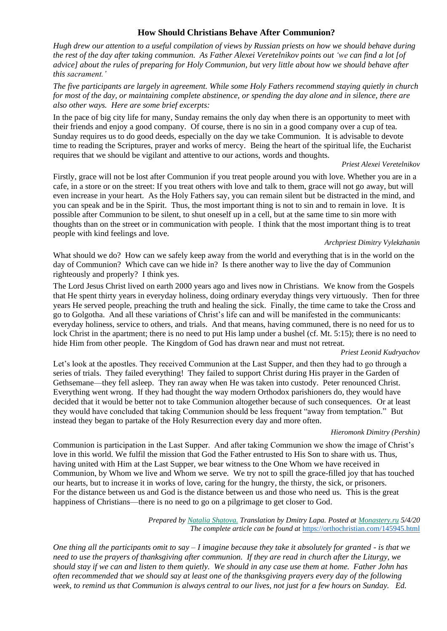#### **How Should Christians Behave After Communion?**

Hugh drew our attention to a useful compilation of views by Russian priests on how we should behave during the rest of the day after taking communion. As Father Alexei Veretelnikov points out 'we can find a lot [of advice] about the rules of preparing for Holy Communion, but very little about how we should behave after *this sacrament.'*

*The five participants are largely in agreement. While some Holy Fathers recommend staying quietly in church* for most of the day, or maintaining complete abstinence, or spending the day alone and in silence, there are *also other ways. Here are some brief excerpts:*

In the pace of big city life for many, Sunday remains the only day when there is an opportunity to meet with their friends and enjoy a good company. Of course, there is no sin in a good company over a cup of tea. Sunday requires us to do good deeds, especially on the day we take Communion. It is advisable to devote time to reading the Scriptures, prayer and works of mercy. Being the heart of the spiritual life, the Eucharist requires that we should be vigilant and attentive to our actions, words and thoughts.

#### *Priest Alexei Veretelnikov*

Firstly, grace will not be lost after Communion if you treat people around you with love. Whether you are in a cafe, in a store or on the street: If you treat others with love and talk to them, grace will not go away, but will even increase in your heart. As the Holy Fathers say, you can remain silent but be distracted in the mind, and you can speak and be in the Spirit. Thus, the most important thing is not to sin and to remain in love. It is possible after Communion to be silent, to shut oneself up in a cell, but at the same time to sin more with thoughts than on the street or in communication with people. I think that the most important thing is to treat people with kind feelings and love.

#### *Archpriest Dimitry Vylekzhanin*

What should we do? How can we safely keep away from the world and everything that is in the world on the day of Communion? Which cave can we hide in? Is there another way to live the day of Communion righteously and properly? I think yes.

The Lord Jesus Christ lived on earth 2000 years ago and lives now in Christians. We know from the Gospels that He spent thirty years in everyday holiness, doing ordinary everyday things very virtuously. Then for three years He served people, preaching the truth and healing the sick. Finally, the time came to take the Cross and go to Golgotha. And all these variations of Christ's life can and will be manifested in the communicants: everyday holiness, service to others, and trials. And that means, having communed, there is no need for us to lock Christ in the apartment; there is no need to put His lamp under a bushel (cf. Mt. 5:15); there is no need to hide Him from other people. The Kingdom of God has drawn near and must not retreat.

#### *Priest Leonid Kudryachov*

Let's look at the apostles. They received Communion at the Last Supper, and then they had to go through a series of trials. They failed everything! They failed to support Christ during His prayer in the Garden of Gethsemane—they fell asleep. They ran away when He was taken into custody. Peter renounced Christ. Everything went wrong. If they had thought the way modern Orthodox parishioners do, they would have decided that it would be better not to take Communion altogether because of such consequences. Or at least they would have concluded that taking Communion should be less frequent "away from temptation." But instead they began to partake of the Holy Resurrection every day and more often.

#### *Hieromonk Dimitry (Pershin)*

Communion is participation in the Last Supper. And after taking Communion we show the image of Christ's love in this world. We fulfil the mission that God the Father entrusted to His Son to share with us. Thus, having united with Him at the Last Supper, we bear witness to the One Whom we have received in Communion, by Whom we live and Whom we serve. We try not to spill the grace-filled joy that has touched our hearts, but to increase it in works of love, caring for the hungry, the thirsty, the sick, or prisoners. For the distance between us and God is the distance between us and those who need us. This is the great happiness of Christians—there is no need to go on a pilgrimage to get closer to God.

> *Prepared by Natalia [Shatova.](https://orthochristian.com/139039.html) Translation by Dmitry Lapa. Posted at [Monastery.ru](https://monastery.ru/zhurnal/bog-i-chelovek/kak-ne-rasteryat-blagodat-posle-prichastiya/) 5/4/20 The complete article can be found at* <https://orthochristian.com/145945.html>

*One thing all the participants omit to say – I imagine because they take it absolutely for granted - is that we need to use the prayers of thanksgiving after communion. If they are read in church after the Liturgy, we should stay if we can and listen to them quietly. We should in any case use them at home. Father John has often recommended that we should say at least one of the thanksgiving prayers every day of the following week, to remind us that Communion is always central to our lives, not just for a few hours on Sunday. Ed.*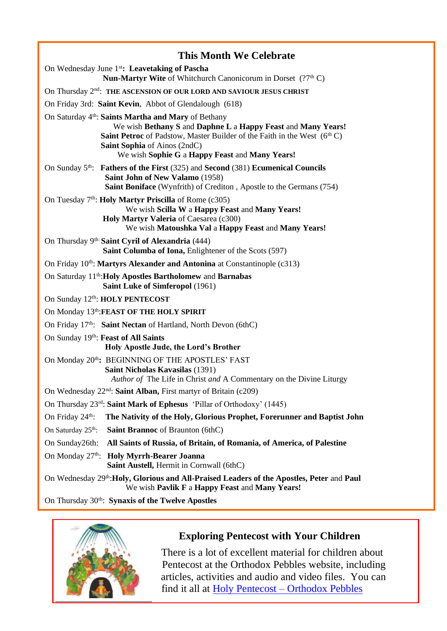|                                                                                  | <b>This Month We Celebrate</b>                                                                                                                                                                                                                                                                        |
|----------------------------------------------------------------------------------|-------------------------------------------------------------------------------------------------------------------------------------------------------------------------------------------------------------------------------------------------------------------------------------------------------|
| On Wednesday June 1 <sup>st</sup> : Leavetaking of Pascha                        |                                                                                                                                                                                                                                                                                                       |
|                                                                                  | <b>Nun-Martyr Wite</b> of Whitchurch Canonicorum in Dorset $(??thC)$                                                                                                                                                                                                                                  |
| On Thursday 2 <sup>nd</sup> : THE ASCENSION OF OUR LORD AND SAVIOUR JESUS CHRIST |                                                                                                                                                                                                                                                                                                       |
|                                                                                  | On Friday 3rd: Saint Kevin, Abbot of Glendalough (618)                                                                                                                                                                                                                                                |
|                                                                                  | On Saturday 4 <sup>th</sup> : Saints Martha and Mary of Bethany<br>We wish Bethany S and Daphne L a Happy Feast and Many Years!<br><b>Saint Petroc</b> of Padstow, Master Builder of the Faith in the West $(6thC)$<br>Saint Sophia of Ainos (2ndC)<br>We wish Sophie G a Happy Feast and Many Years! |
|                                                                                  | On Sunday $5^{\text{th}}$ : Fathers of the First (325) and Second (381) Ecumenical Councils<br>Saint John of New Valamo (1958)<br>Saint Boniface (Wynfrith) of Crediton, Apostle to the Germans (754)                                                                                                 |
|                                                                                  | On Tuesday 7 <sup>th</sup> : <b>Holy Martyr Priscilla</b> of Rome (c305)<br>We wish Scilla W a Happy Feast and Many Years!<br>Holy Martyr Valeria of Caesarea (c300)<br>We wish Matoushka Val a Happy Feast and Many Years!                                                                           |
|                                                                                  | On Thursday 9 <sup>th:</sup> Saint Cyril of Alexandria (444)<br>Saint Columba of Iona, Enlightener of the Scots (597)                                                                                                                                                                                 |
| On Friday 10th: Martyrs Alexander and Antonina at Constantinople (c313)          |                                                                                                                                                                                                                                                                                                       |
|                                                                                  | On Saturday 11 <sup>th</sup> : Holy Apostles Bartholomew and Barnabas<br>Saint Luke of Simferopol (1961)                                                                                                                                                                                              |
|                                                                                  | On Sunday 12th: HOLY PENTECOST                                                                                                                                                                                                                                                                        |
|                                                                                  | On Monday 13th: FEAST OF THE HOLY SPIRIT                                                                                                                                                                                                                                                              |
|                                                                                  | On Friday 17 <sup>th</sup> : Saint Nectan of Hartland, North Devon (6thC)                                                                                                                                                                                                                             |
| On Sunday 19th: Feast of All Saints                                              | Holy Apostle Jude, the Lord's Brother                                                                                                                                                                                                                                                                 |
|                                                                                  | On Monday 20 <sup>th</sup> : BEGINNING OF THE APOSTLES' FAST<br>Saint Nicholas Kavasilas (1391)<br>Author of The Life in Christ and A Commentary on the Divine Liturgy                                                                                                                                |
|                                                                                  | On Wednesday 22 <sup>nd</sup> : Saint Alban, First martyr of Britain (c209)                                                                                                                                                                                                                           |
|                                                                                  | On Thursday 23rd: Saint Mark of Ephesus 'Pillar of Orthodoxy' (1445)                                                                                                                                                                                                                                  |
| On Friday 24 <sup>th</sup> :                                                     | The Nativity of the Holy, Glorious Prophet, Forerunner and Baptist John                                                                                                                                                                                                                               |
| On Saturday 25 <sup>th</sup> :                                                   | <b>Saint Brannoc</b> of Braunton (6thC)                                                                                                                                                                                                                                                               |
| On Sunday26th:                                                                   | All Saints of Russia, of Britain, of Romania, of America, of Palestine                                                                                                                                                                                                                                |
| On Monday 27 <sup>th</sup> :                                                     | <b>Holy Myrrh-Bearer Joanna</b><br>Saint Austell, Hermit in Cornwall (6thC)                                                                                                                                                                                                                           |
|                                                                                  | On Wednesday 29th: Holy, Glorious and All-Praised Leaders of the Apostles, Peter and Paul<br>We wish Pavlik F a Happy Feast and Many Years!                                                                                                                                                           |
|                                                                                  | On Thursday 30 <sup>th</sup> : Synaxis of the Twelve Apostles                                                                                                                                                                                                                                         |



## **Exploring Pentecost with Your Children**

 There is a lot of excellent material for children about Pentecost at the Orthodox Pebbles website, including articles, activities and audio and video files. You can find it all at Holy Pentecost – [Orthodox Pebbles](https://orthodoxpebbles.com/new-testament/holy-pentecost/)